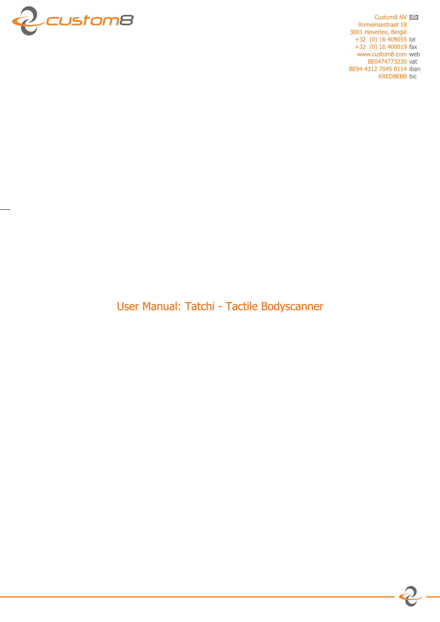

Custom8 NV  $\approx$ Romeinsestraat 18 3001 Heverlee, België<br>+32 (0) 16 409055 tel  $+32$  (0) 16 400019 fax www.custom8.com web BE0474773230 vat BE94 4312 7045 0114 iban **KREDBEBB** bic

User Manual: Tatchi - Tactile Bodyscanner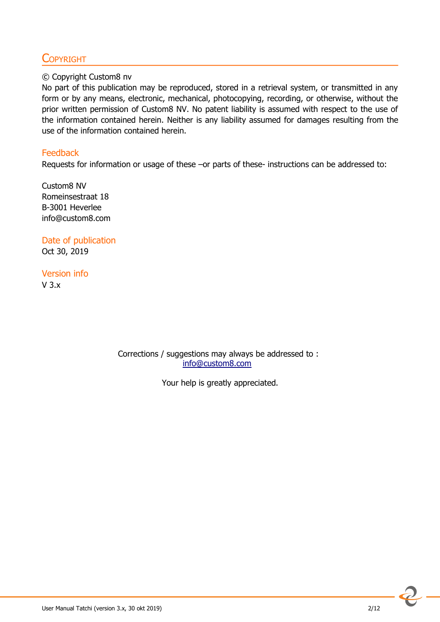# **COPYRIGHT**

#### © Copyright Custom8 nv

No part of this publication may be reproduced, stored in a retrieval system, or transmitted in any form or by any means, electronic, mechanical, photocopying, recording, or otherwise, without the prior written permission of Custom8 NV. No patent liability is assumed with respect to the use of the information contained herein. Neither is any liability assumed for damages resulting from the use of the information contained herein.

#### **Feedback**

Requests for information or usage of these –or parts of these- instructions can be addressed to:

Custom8 NV Romeinsestraat 18 B-3001 Heverlee info@custom8.com

Date of publication Oct 30, 2019

Version info V 3.x

> Corrections / suggestions may always be addressed to : info@custom8.com

> > Your help is greatly appreciated.

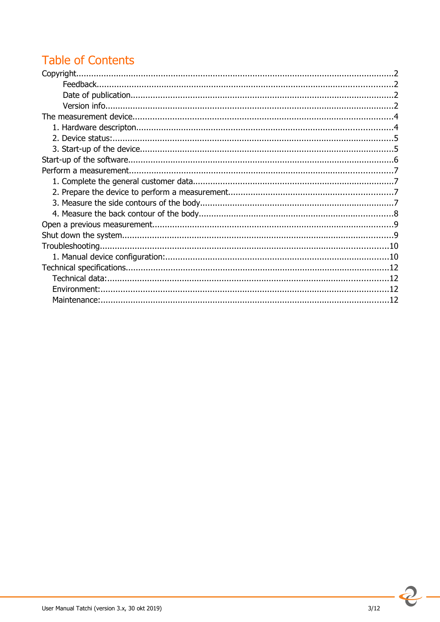# **Table of Contents**

 $\overline{2}$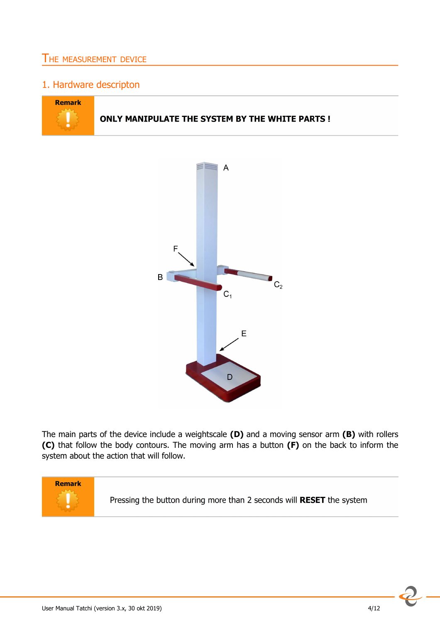## THE MEASUREMENT DEVICE

## 1. Hardware descripton





The main parts of the device include a weightscale **(D)** and a moving sensor arm **(B)** with rollers **(C)** that follow the body contours. The moving arm has a button **(F)** on the back to inform the system about the action that will follow.

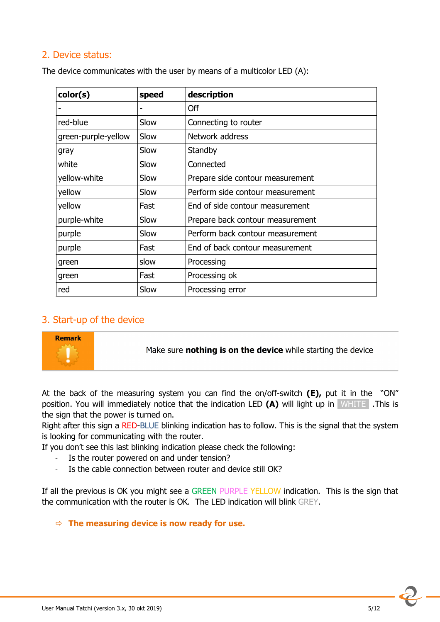## 2. Device status:

| color(s)            | speed | description                      |  |
|---------------------|-------|----------------------------------|--|
| ٠                   |       | Off                              |  |
| red-blue            | Slow  | Connecting to router             |  |
| green-purple-yellow | Slow  | Network address                  |  |
| gray                | Slow  | Standby                          |  |
| white               | Slow  | Connected                        |  |
| yellow-white        | Slow  | Prepare side contour measurement |  |
| yellow              | Slow  | Perform side contour measurement |  |
| yellow              | Fast  | End of side contour measurement  |  |
| purple-white        | Slow  | Prepare back contour measurement |  |
| purple              | Slow  | Perform back contour measurement |  |
| purple              | Fast  | End of back contour measurement  |  |
| green               | slow  | Processing                       |  |
| green               | Fast  | Processing ok                    |  |
| red                 | Slow  | Processing error                 |  |

The device communicates with the user by means of a multicolor LED (A):

## 3. Start-up of the device



Make sure nothing is on the device while starting the device

At the back of the measuring system you can find the on/off-switch **(E),** put it in the "ON" position. You will immediately notice that the indication LED **(A)** will light up in WHITE .This is the sign that the power is turned on.

Right after this sign a RED-BLUE blinking indication has to follow. This is the signal that the system is looking for communicating with the router.

If you don't see this last blinking indication please check the following:

- Is the router powered on and under tension?
- Is the cable connection between router and device still OK?

If all the previous is OK you might see a GREEN PURPLE YELLOW indication. This is the sign that the communication with the router is OK. The LED indication will blink GREY.

#### **The measuring device is now ready for use.**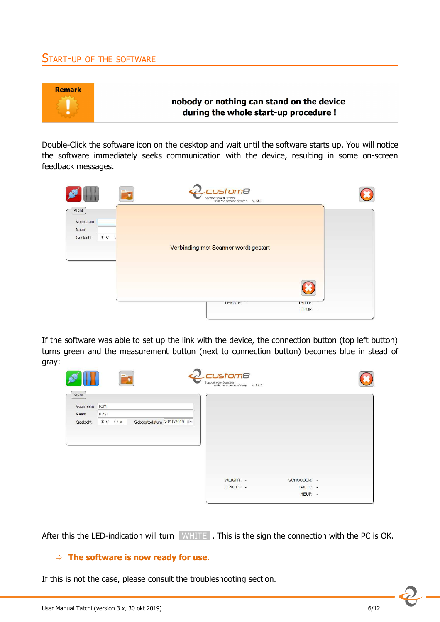#### START-UP OF THE SOFTWARE



Double-Click the software icon on the desktop and wait until the software starts up. You will notice the software immediately seeks communication with the device, resulting in some on-screen feedback messages.

|                           | :ustom8<br>Support your business<br>with the science of sleep v. 3.0.0 |                      |
|---------------------------|------------------------------------------------------------------------|----------------------|
| Klant<br>Voornaam<br>Naam |                                                                        |                      |
| $\circ$ v<br>Geslacht     | Verbinding met Scanner wordt gestart                                   |                      |
|                           |                                                                        |                      |
|                           | LENGIE: -                                                              | IAILLE: -<br>HEUP: - |

If the software was able to set up the link with the device, the connection button (top left button) turns green and the measurement button (next to connection button) becomes blue in stead of gray:

| Voornaam | <b>TOM</b>   |                                       |           |             |  |
|----------|--------------|---------------------------------------|-----------|-------------|--|
| Naam     | <b>TEST</b>  |                                       |           |             |  |
| Geslacht | $\circ v$ OM | Geboortedatum 29/10/2019 <sup>#</sup> |           |             |  |
|          |              |                                       |           |             |  |
|          |              |                                       |           |             |  |
|          |              |                                       |           |             |  |
|          |              |                                       |           |             |  |
|          |              |                                       |           |             |  |
|          |              |                                       |           |             |  |
|          |              |                                       |           |             |  |
|          |              |                                       |           |             |  |
|          |              |                                       | WEIGHT: - | SCHOUDER: - |  |

After this the LED-indication will turn WHITE . This is the sign the connection with the PC is OK.

#### **The software is now ready for use.**

If this is not the case, please consult the troubleshooting section.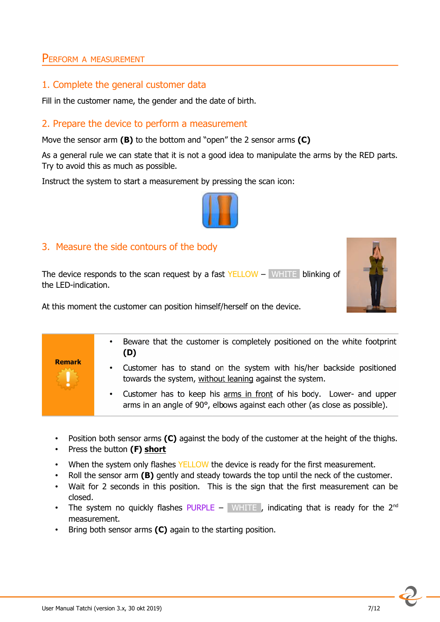## PERFORM <sup>A</sup> MEASUREMENT

#### 1. Complete the general customer data

Fill in the customer name, the gender and the date of birth.

#### 2. Prepare the device to perform a measurement

Move the sensor arm **(B)** to the bottom and "open" the 2 sensor arms **(C)**

As a general rule we can state that it is not a good idea to manipulate the arms by the RED parts. Try to avoid this as much as possible.

Instruct the system to start a measurement by pressing the scan icon:



#### 3. Measure the side contours of the body

The device responds to the scan request by a fast YELLOW – WHITE blinking of the LED-indication.



At this moment the customer can position himself/herself on the device.

- Beware that the customer is completely positioned on the white footprint  $(D)$ **Remark** Customer has to stand on the system with his/her backside positioned towards the system, without leaning against the system. Customer has to keep his arms in front of his body. Lower- and upper arms in an angle of 90°, elbows against each other (as close as possible).
	- Position both sensor arms **(C)** against the body of the customer at the height of the thighs.
	- Press the button **(F) short**
	- When the system only flashes YELLOW the device is ready for the first measurement.
	- Roll the sensor arm **(B)** gently and steady towards the top until the neck of the customer.
	- Wait for 2 seconds in this position. This is the sign that the first measurement can be closed.
	- The system no quickly flashes PURPLE WHITE, indicating that is ready for the  $2^{nd}$ measurement.
	- Bring both sensor arms **(C)** again to the starting position.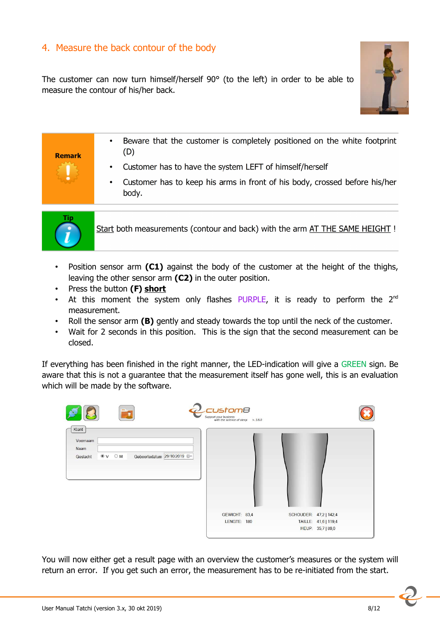## 4. Measure the back contour of the body

The customer can now turn himself/herself 90° (to the left) in order to be able to measure the contour of his/her back.



## Beware that the customer is completely positioned on the white footprint  $(D)$ **Remark** Customer has to have the system LEFT of himself/herself Customer has to keep his arms in front of his body, crossed before his/her body.



Start both measurements (contour and back) with the arm AT THE SAME HEIGHT !

- Position sensor arm **(C1)** against the body of the customer at the height of the thighs, leaving the other sensor arm **(C2)** in the outer position.
- Press the button **(F) short**
- At this moment the system only flashes PURPLE, it is ready to perform the  $2^{nd}$ measurement.
- Roll the sensor arm **(B)** gently and steady towards the top until the neck of the customer.
- Wait for 2 seconds in this position. This is the sign that the second measurement can be closed.

If everything has been finished in the right manner, the LED-indication will give a GREEN sign. Be aware that this is not a guarantee that the measurement itself has gone well, this is an evaluation which will be made by the software.

|                                                                                              | ustom8<br>Support your business<br>with the science of sleep v. 3.0.0 |                        |                      |
|----------------------------------------------------------------------------------------------|-----------------------------------------------------------------------|------------------------|----------------------|
| Klant<br>Voornaam<br>Naam<br>Geboortedatum 29/10/2019 =<br>$\bullet$ v $\circ$ M<br>Geslacht |                                                                       |                        |                      |
|                                                                                              | GEWICHT: 83,4                                                         | SCHOUDER: 47,2   142,4 |                      |
|                                                                                              | LENGTE: 180                                                           |                        | TAILLE: 41,6   119,4 |
|                                                                                              |                                                                       |                        | HEUP: 35,7   89,0    |

You will now either get a result page with an overview the customer's measures or the system will return an error. If you get such an error, the measurement has to be re-initiated from the start.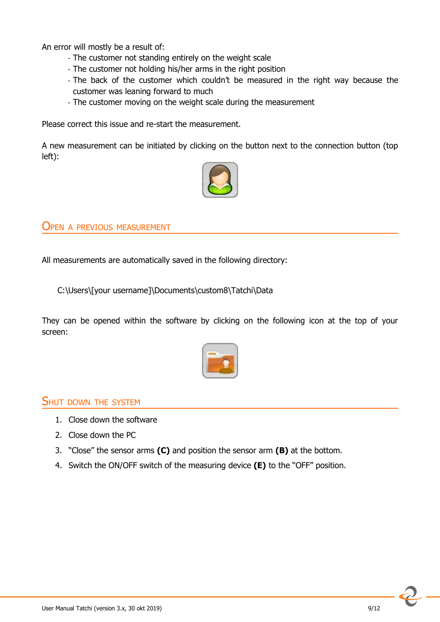An error will mostly be a result of:

- The customer not standing entirely on the weight scale
- The customer not holding his/her arms in the right position
- The back of the customer which couldn't be measured in the right way because the customer was leaning forward to much
- The customer moving on the weight scale during the measurement

Please correct this issue and re-start the measurement.

A new measurement can be initiated by clicking on the button next to the connection button (top left):



OPEN <sup>A</sup> PREVIOUS MEASUREMENT

All measurements are automatically saved in the following directory:

C:\Users\[your username]\Documents\custom8\Tatchi\Data

They can be opened within the software by clicking on the following icon at the top of your screen:



## SHUT DOWN THE SYSTEM

- 1. Close down the software
- 2. Close down the PC
- 3. "Close" the sensor arms **(C)** and position the sensor arm **(B)** at the bottom.
- 4. Switch the ON/OFF switch of the measuring device **(E)** to the "OFF" position.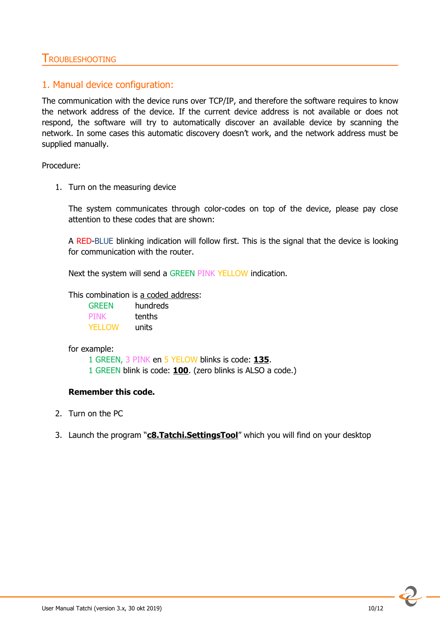## TROUBLESHOOTING

## 1. Manual device configuration:

The communication with the device runs over TCP/IP, and therefore the software requires to know the network address of the device. If the current device address is not available or does not respond, the software will try to automatically discover an available device by scanning the network. In some cases this automatic discovery doesn't work, and the network address must be supplied manually.

Procedure:

1. Turn on the measuring device

The system communicates through color-codes on top of the device, please pay close attention to these codes that are shown:

A RED-BLUE blinking indication will follow first. This is the signal that the device is looking for communication with the router.

Next the system will send a GREEN PINK YELLOW indication.

This combination is a coded address:

| <b>GREEN</b> | hundreds |
|--------------|----------|
| <b>PINK</b>  | tenths   |
| YFI I OW     | units    |

for example:

1 GREEN, 3 PINK en 5 YELOW blinks is code: **135**.

1 GREEN blink is code: **100**. (zero blinks is ALSO a code.)

#### **Remember this code.**

- 2. Turn on the PC
- 3. Launch the program "**c8.Tatchi.SettingsTool**" which you will find on your desktop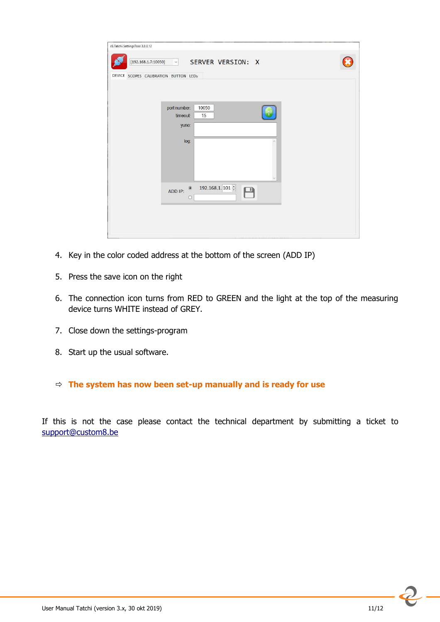| c8.Tatchi.SettingsTool 3.0.0.12       |                                                          |  |
|---------------------------------------|----------------------------------------------------------|--|
| [192.168.1.7:10050]                   | SERVER VERSION: X<br>$\sqrt{2}$<br>H.                    |  |
| DEVICE SCOPES CALIBRATION BUTTON LEDS |                                                          |  |
|                                       |                                                          |  |
|                                       |                                                          |  |
|                                       | port number:<br>10050                                    |  |
|                                       | timeout:<br>15<br>yuno:                                  |  |
|                                       |                                                          |  |
|                                       | log:                                                     |  |
|                                       |                                                          |  |
|                                       |                                                          |  |
|                                       |                                                          |  |
|                                       | 192.168.1.101 $\div$<br>$\circledbullet$<br>Р<br>ADD IP: |  |
|                                       | $\circ$                                                  |  |
|                                       |                                                          |  |
|                                       |                                                          |  |
|                                       |                                                          |  |

- 4. Key in the color coded address at the bottom of the screen (ADD IP)
- 5. Press the save icon on the right
- 6. The connection icon turns from RED to GREEN and the light at the top of the measuring device turns WHITE instead of GREY.
- 7. Close down the settings-program
- 8. Start up the usual software.

#### **The system has now been set-up manually and is ready for use**

If this is not the case please contact the technical department by submitting a ticket to support@custom8.be